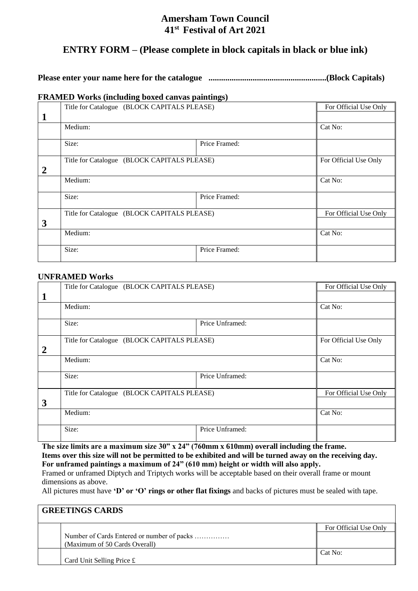# **Amersham Town Council 41 st Festival of Art 2021**

# **ENTRY FORM – (Please complete in block capitals in black or blue ink)**

# **Please enter your name here for the catalogue ........................................................(Block Capitals)**

## **FRAMED Works (including boxed canvas paintings)**

|                  | Title for Catalogue (BLOCK CAPITALS PLEASE) |               | For Official Use Only |
|------------------|---------------------------------------------|---------------|-----------------------|
| $\mathbf 1$      |                                             |               |                       |
|                  | Medium:                                     |               | Cat No:               |
|                  | Size:                                       | Price Framed: |                       |
| $\boldsymbol{2}$ | Title for Catalogue (BLOCK CAPITALS PLEASE) |               | For Official Use Only |
|                  | Medium:                                     |               | Cat No:               |
|                  | Size:                                       | Price Framed: |                       |
|                  | Title for Catalogue (BLOCK CAPITALS PLEASE) |               | For Official Use Only |
| 3                |                                             |               |                       |
|                  | Medium:                                     |               | Cat No:               |
|                  | Size:                                       | Price Framed: |                       |

## **UNFRAMED Works**

|                | Title for Catalogue (BLOCK CAPITALS PLEASE) |                 | For Official Use Only |
|----------------|---------------------------------------------|-----------------|-----------------------|
| 1              |                                             |                 |                       |
|                | Medium:                                     |                 | Cat No:               |
|                |                                             |                 |                       |
|                | Size:                                       | Price Unframed: |                       |
|                |                                             |                 |                       |
|                | Title for Catalogue (BLOCK CAPITALS PLEASE) |                 | For Official Use Only |
| $\overline{2}$ |                                             |                 |                       |
|                | Medium:                                     |                 | Cat No:               |
|                |                                             |                 |                       |
|                | Size:                                       | Price Unframed: |                       |
|                |                                             |                 |                       |
|                | Title for Catalogue (BLOCK CAPITALS PLEASE) |                 | For Official Use Only |
| 3              |                                             |                 |                       |
|                | Medium:                                     |                 | Cat No:               |
|                |                                             |                 |                       |
|                | Size:                                       | Price Unframed: |                       |
|                |                                             |                 |                       |

**The size limits are a maximum size 30" x 24" (760mm x 610mm) overall including the frame. Items over this size will not be permitted to be exhibited and will be turned away on the receiving day. For unframed paintings a maximum of 24" (610 mm) height or width will also apply.** 

Framed or unframed Diptych and Triptych works will be acceptable based on their overall frame or mount dimensions as above.

All pictures must have **'D' or 'O' rings or other flat fixings** and backs of pictures must be sealed with tape.

# **GREETINGS CARDS** For Official Use Only Number of Cards Entered or number of packs …………… (Maximum of 50 Cards Overall) Card Unit Selling Price £ Cat No: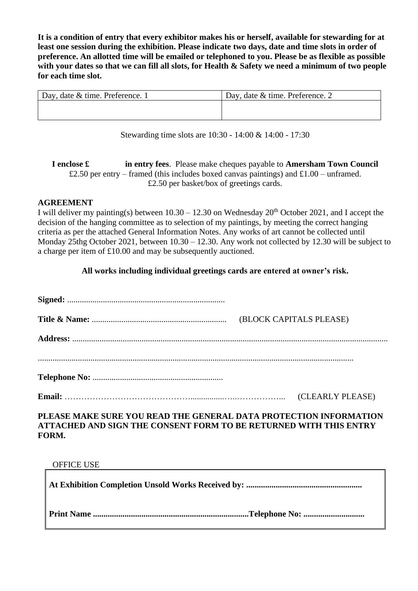**It is a condition of entry that every exhibitor makes his or herself, available for stewarding for at least one session during the exhibition. Please indicate two days, date and time slots in order of preference. An allotted time will be emailed or telephoned to you. Please be as flexible as possible with your dates so that we can fill all slots, for Health & Safety we need a minimum of two people for each time slot.**

| Day, date $&$ time. Preference. 1 | Day, date & time. Preference. 2 |
|-----------------------------------|---------------------------------|
|                                   |                                 |
|                                   |                                 |

Stewarding time slots are 10:30 - 14:00 & 14:00 - 17:30

**I enclose £ in entry fees**. Please make cheques payable to **Amersham Town Council** £2.50 per entry – framed (this includes boxed canvas paintings) and £1.00 – unframed. £2.50 per basket/box of greetings cards.

# **AGREEMENT**

I will deliver my painting(s) between  $10.30 - 12.30$  on Wednesday  $20<sup>th</sup>$  October 2021, and I accept the decision of the hanging committee as to selection of my paintings, by meeting the correct hanging criteria as per the attached General Information Notes. Any works of art cannot be collected until Monday 25thg October 2021, between  $10.30 - 12.30$ . Any work not collected by 12.30 will be subject to a charge per item of £10.00 and may be subsequently auctioned.

# **All works including individual greetings cards are entered at owner's risk.**

|                                                                                             | (CLEARLY PLEASE) |  |
|---------------------------------------------------------------------------------------------|------------------|--|
| <b>DIE 165 MARTIN EUROPEN DE LA BURGELLE ANNE LA BARA DE OBJECTION DE COLONIAL BIOLOGIE</b> |                  |  |

# **PLEASE MAKE SURE YOU READ THE GENERAL DATA PROTECTION INFORMATION ATTACHED AND SIGN THE CONSENT FORM TO BE RETURNED WITH THIS ENTRY FORM.**

## OFFICE USE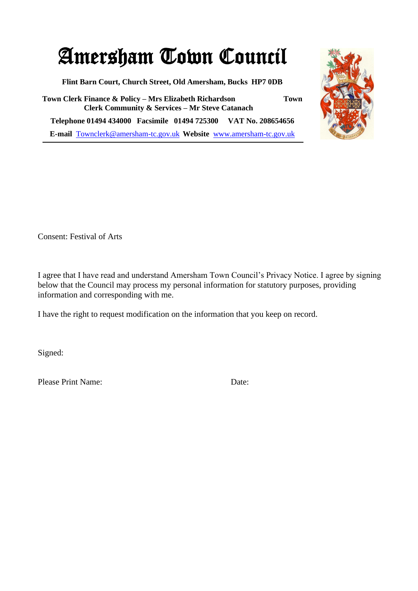# Amersham Town Council

**Flint Barn Court, Church Street, Old Amersham, Bucks HP7 0DB**

**Town Clerk Finance & Policy – Mrs Elizabeth Richardson Town Clerk Community & Services – Mr Steve Catanach Telephone 01494 434000 Facsimile 01494 725300 VAT No. 208654656 E-mail** [Townclerk@amersham-tc.gov.uk](mailto:Townclerk@amersham-tc.gov.uk) **Website** [www.amersham-tc.gov.uk](http://www.amersham-tc.gov.uk/)



Consent: Festival of Arts

I agree that I have read and understand Amersham Town Council's Privacy Notice. I agree by signing below that the Council may process my personal information for statutory purposes, providing information and corresponding with me.

I have the right to request modification on the information that you keep on record.

Signed:

Please Print Name: Date: Date: